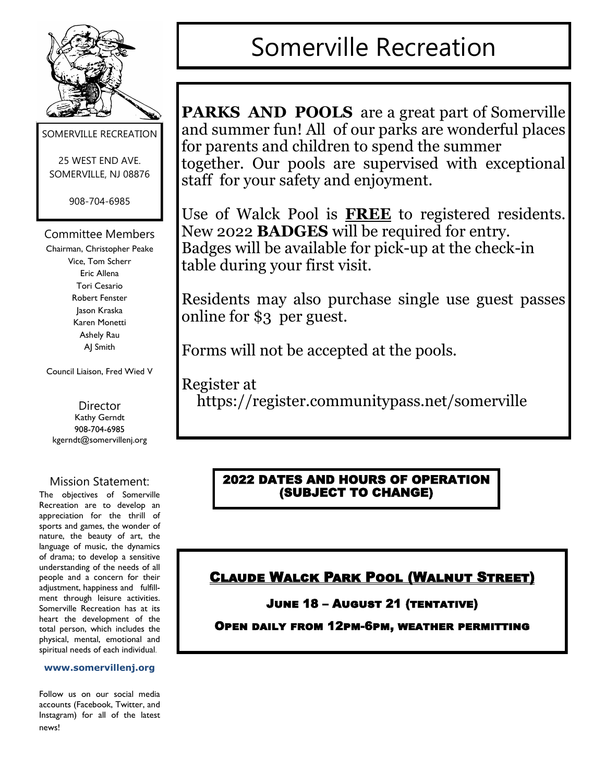

SOMERVILLE RECREATION

25 WEST END AVE. SOMERVILLE, NJ 08876

908-704-6985

Committee Members

Chairman, Christopher Peake Vice, Tom Scherr Eric Allena Tori Cesario Robert Fenster Jason Kraska Karen Monetti Ashely Rau AJ Smith

Council Liaison, Fred Wied V

**Director** Kathy Gerndt 908-704-6985 kgerndt@somervillenj.org

#### Mission Statement:

The objectives of Somerville Recreation are to develop an appreciation for the thrill of sports and games, the wonder of nature, the beauty of art, the language of music, the dynamics of drama; to develop a sensitive understanding of the needs of all people and a concern for their adjustment, happiness and fulfillment through leisure activities. Somerville Recreation has at its heart the development of the total person, which includes the physical, mental, emotional and spiritual needs of each individual.

#### **www.somervillenj.org**

Follow us on our social media accounts (Facebook, Twitter, and Instagram) for all of the latest news!

# Somerville Recreation

**PARKS AND POOLS** are a great part of Somerville and summer fun! All of our parks are wonderful places for parents and children to spend the summer together. Our pools are supervised with exceptional staff for your safety and enjoyment.

Use of Walck Pool is **FREE** to registered residents. New 2022 **BADGES** will be required for entry. Badges will be available for pick-up at the check-in table during your first visit.

Residents may also purchase single use guest passes online for \$3 per guest.

Forms will not be accepted at the pools.

Register at https://register.communitypass.net/somerville

### 2022 DATES AND HOURS OF OPERATION (SUBJECT TO CHANGE)

# Claude Walck Park Pool (Walnut Street)

#### June 18 – August 21 (tentative)

#### Open daily from 12pm-6pm, weather permitting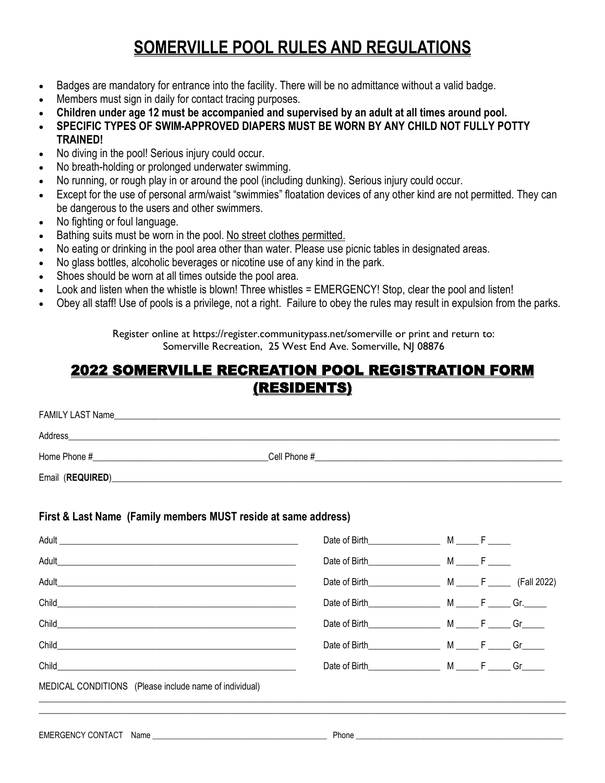# **SOMERVILLE POOL RULES AND REGULATIONS**

- Badges are mandatory for entrance into the facility. There will be no admittance without a valid badge.
- Members must sign in daily for contact tracing purposes.
- **Children under age 12 must be accompanied and supervised by an adult at all times around pool.**
- **SPECIFIC TYPES OF SWIM-APPROVED DIAPERS MUST BE WORN BY ANY CHILD NOT FULLY POTTY TRAINED!**
- No diving in the pool! Serious injury could occur.
- No breath-holding or prolonged underwater swimming.
- No running, or rough play in or around the pool (including dunking). Serious injury could occur.
- Except for the use of personal arm/waist "swimmies" floatation devices of any other kind are not permitted. They can be dangerous to the users and other swimmers.
- No fighting or foul language.
- Bathing suits must be worn in the pool. No street clothes permitted.
- No eating or drinking in the pool area other than water. Please use picnic tables in designated areas.
- No glass bottles, alcoholic beverages or nicotine use of any kind in the park.
- Shoes should be worn at all times outside the pool area.
- Look and listen when the whistle is blown! Three whistles = EMERGENCY! Stop, clear the pool and listen!
- Obey all staff! Use of pools is a privilege, not a right. Failure to obey the rules may result in expulsion from the parks.

Register online at https://register.communitypass.net/somerville or print and return to: Somerville Recreation, 25 West End Ave. Somerville, NJ 08876

## 2022 SOMERVILLE RECREATION POOL REGISTRATION FORM (RESIDENTS)

| FAMILY LAST Name |              |
|------------------|--------------|
| Address          |              |
| Home Phone #     | Cell Phone # |
| Email (REQUIRED) |              |

#### **First & Last Name (Family members MUST reside at same address)**

|                                                        |                      |  | (Fall 2022) |
|--------------------------------------------------------|----------------------|--|-------------|
| Child                                                  |                      |  |             |
| Child_                                                 | Date of Birth M F Gr |  |             |
|                                                        |                      |  |             |
| Child <b>Child</b>                                     |                      |  |             |
| MEDICAL CONDITIONS (Please include name of individual) |                      |  |             |
|                                                        |                      |  |             |